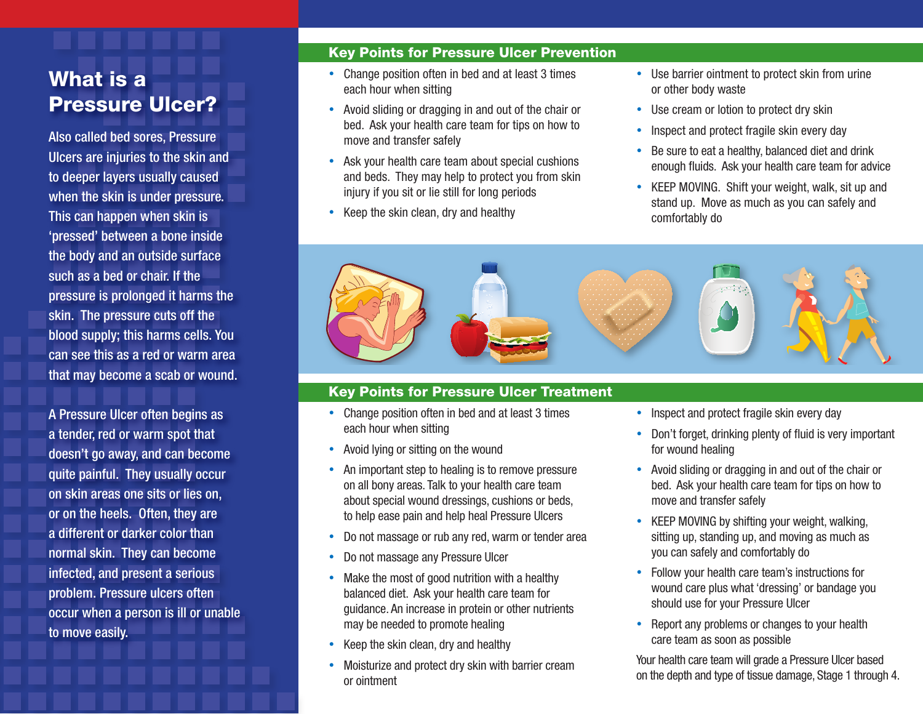# What is a Pressure Ulcer?

Also called bed sores, Pressure Ulcers are injuries to the skin and to deeper layers usually caused when the skin is under pressure. This can happen when skin is 'pressed' between a bone inside the body and an outside surface such as a bed or chair. If the pressure is prolonged it harms the skin. The pressure cuts off the blood supply; this harms cells. You can see this as a red or warm area that may become a scab or wound.

A Pressure Ulcer often begins as a tender, red or warm spot that doesn't go away, and can become quite painful. They usually occur on skin areas one sits or lies on, or on the heels. Often, they are a different or darker color than normal skin. They can become infected, and present a serious problem. Pressure ulcers often occur when a person is ill or unable to move easily.

## Key Points for Pressure Ulcer Prevention

- Change position often in bed and at least 3 times each hour when sitting
- Avoid sliding or dragging in and out of the chair or bed. Ask your health care team for tips on how to move and transfer safely
- Ask your health care team about special cushions and beds. They may help to protect you from skin injury if you sit or lie still for long periods
- Keep the skin clean, dry and healthy
- Use barrier ointment to protect skin from urine or other body waste
- Use cream or lotion to protect dry skin
- Inspect and protect fragile skin every day
- Be sure to eat a healthy, balanced diet and drink enough fluids. Ask your health care team for advice
- KEEP MOVING. Shift your weight, walk, sit up and stand up. Move as much as you can safely and comfortably do



# Key Points for Pressure Ulcer Treatment

- Change position often in bed and at least 3 times each hour when sitting
- Avoid lying or sitting on the wound
- An important step to healing is to remove pressure on all bony areas. Talk to your health care team about special wound dressings, cushions or beds, to help ease pain and help heal Pressure Ulcers
- Do not massage or rub any red, warm or tender area
- Do not massage any Pressure Ulcer
- Make the most of good nutrition with a healthy balanced diet. Ask your health care team for guidance. An increase in protein or other nutrients may be needed to promote healing
- Keep the skin clean, dry and healthy
- Moisturize and protect dry skin with barrier cream or ointment
- Inspect and protect fragile skin every day
- Don't forget, drinking plenty of fluid is very important for wound healing
- Avoid sliding or dragging in and out of the chair or bed. Ask your health care team for tips on how to move and transfer safely
- KEEP MOVING by shifting your weight, walking, sitting up, standing up, and moving as much as you can safely and comfortably do
- Follow your health care team's instructions for wound care plus what 'dressing' or bandage you should use for your Pressure Ulcer
- Report any problems or changes to your health care team as soon as possible

Your health care team will grade a Pressure Ulcer based on the depth and type of tissue damage, Stage 1 through 4.